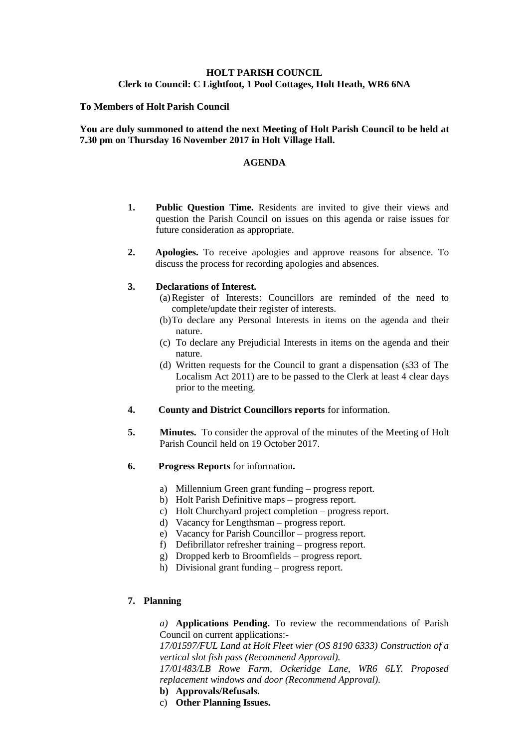# **HOLT PARISH COUNCIL Clerk to Council: C Lightfoot, 1 Pool Cottages, Holt Heath, WR6 6NA**

### **To Members of Holt Parish Council**

### **You are duly summoned to attend the next Meeting of Holt Parish Council to be held at 7.30 pm on Thursday 16 November 2017 in Holt Village Hall.**

#### **AGENDA**

- **1. Public Question Time.** Residents are invited to give their views and question the Parish Council on issues on this agenda or raise issues for future consideration as appropriate.
- **2. Apologies.** To receive apologies and approve reasons for absence. To discuss the process for recording apologies and absences.

#### **3. Declarations of Interest.**

- (a)Register of Interests: Councillors are reminded of the need to complete/update their register of interests.
- (b)To declare any Personal Interests in items on the agenda and their nature.
- (c) To declare any Prejudicial Interests in items on the agenda and their nature.
- (d) Written requests for the Council to grant a dispensation (s33 of The Localism Act 2011) are to be passed to the Clerk at least 4 clear days prior to the meeting.
- **4. County and District Councillors reports** for information.
- **5. Minutes.** To consider the approval of the minutes of the Meeting of Holt Parish Council held on 19 October 2017.
- **6. Progress Reports** for information**.**
	- a) Millennium Green grant funding progress report.
	- b) Holt Parish Definitive maps progress report.
	- c) Holt Churchyard project completion progress report.
	- d) Vacancy for Lengthsman progress report.
	- e) Vacancy for Parish Councillor progress report.
	- f) Defibrillator refresher training progress report.
	- g) Dropped kerb to Broomfields progress report.
	- h) Divisional grant funding progress report.

# **7. Planning**

*a)* **Applications Pending.** To review the recommendations of Parish Council on current applications:-

*17/01597/FUL Land at Holt Fleet wier (OS 8190 6333) Construction of a vertical slot fish pass (Recommend Approval).*

*17/01483/LB Rowe Farm, Ockeridge Lane, WR6 6LY. Proposed replacement windows and door (Recommend Approval).*

# **b) Approvals/Refusals.**

c) **Other Planning Issues.**